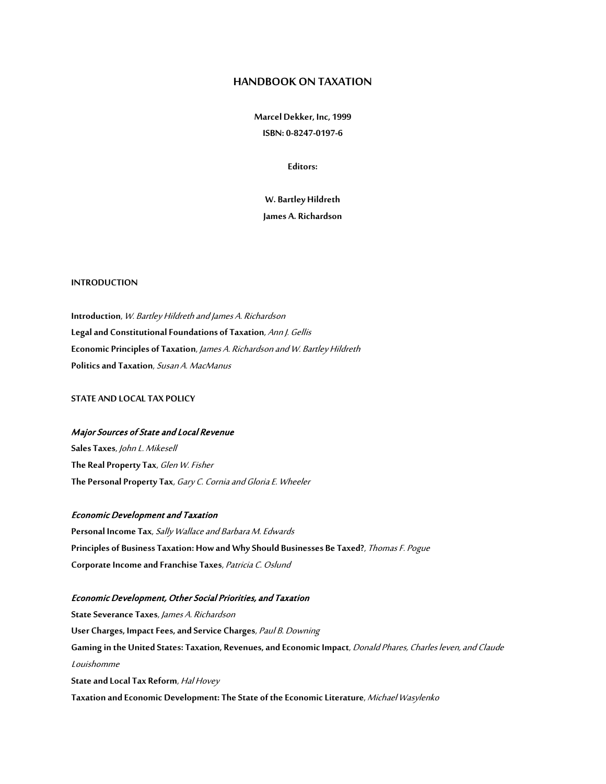# **HANDBOOK ON TAXATION**

**Marcel Dekker, Inc, 1999 ISBN: 0-8247-0197-6**

**Editors:** 

**W. Bartley Hildreth James A. Richardson**

## **INTRODUCTION**

**Introduction**, W. Bartley Hildreth and James A. Richardson **Legal and Constitutional Foundations of Taxation**, Ann J. Gellis **Economic Principles of Taxation**, James A. Richardson and W. Bartley Hildreth **Politics and Taxation**, Susan A. MacManus

**STATE AND LOCAL TAX POLICY**

# Major Sources of State and Local Revenue

**Sales Taxes**, John L. Mikesell **The Real Property Tax**, Glen W. Fisher **The Personal Property Tax**, Gary C. Cornia and Gloria E. Wheeler

#### Economic Development and Taxation

**Personal Income Tax**, Sally Wallace and Barbara M. Edwards **Principles of Business Taxation: How and Why Should Businesses Be Taxed?**, Thomas F. Pogue **Corporate Income and Franchise Taxes**, Patricia C. Oslund

#### Economic Development, Other Social Priorities, and Taxation

**State Severance Taxes**, James A. Richardson **User Charges, Impact Fees, and Service Charges**, Paul B. Downing **Gaming in the United States: Taxation, Revenues, and Economic Impact**, Donald Phares, Charles leven, and Claude Louishomme **State and Local Tax Reform**, Hal Hovey **Taxation and Economic Development: The State of the Economic Literature**, Michael Wasylenko